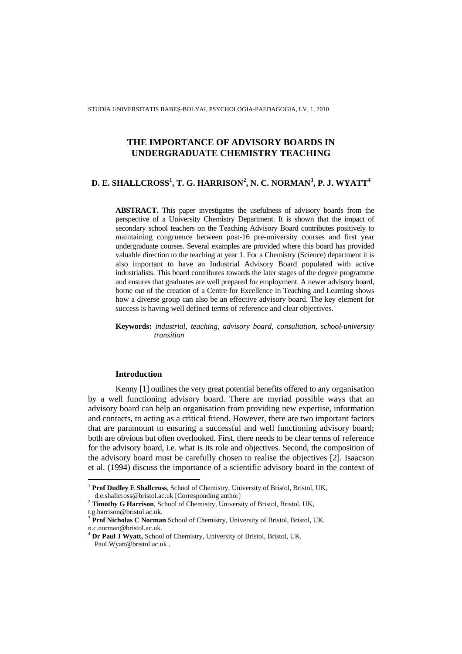STUDIA UNIVERSITATIS BABEŞ-BOLYAI, PSYCHOLOGIA-PAEDAGOGIA, LV, 1, 2010

# **THE IMPORTANCE OF ADVISORY BOARDS IN UNDERGRADUATE CHEMISTRY TEACHING**

# **D. E. SHALLCROSS<sup>1</sup> , T. G. HARRISON<sup>2</sup> , N. C. NORMAN<sup>3</sup> , P. J. WYATT<sup>4</sup>**

**ABSTRACT.** This paper investigates the usefulness of advisory boards from the perspective of a University Chemistry Department. It is shown that the impact of secondary school teachers on the Teaching Advisory Board contributes positively to maintaining congruence between post-16 pre-university courses and first year undergraduate courses. Several examples are provided where this board has provided valuable direction to the teaching at year 1. For a Chemistry (Science) department it is also important to have an Industrial Advisory Board populated with active industrialists. This board contributes towards the later stages of the degree programme and ensures that graduates are well prepared for employment. A newer advisory board, borne out of the creation of a Centre for Excellence in Teaching and Learning shows how a diverse group can also be an effective advisory board. The key element for success is having well defined terms of reference and clear objectives.

**Keywords:** *industrial, teaching, advisory board, consultation, school-university transition* 

## **Introduction**

Kenny [1] outlines the very great potential benefits offered to any organisation by a well functioning advisory board. There are myriad possible ways that an advisory board can help an organisation from providing new expertise, information and contacts, to acting as a critical friend. However, there are two important factors that are paramount to ensuring a successful and well functioning advisory board; both are obvious but often overlooked. First, there needs to be clear terms of reference for the advisory board, i.e. what is its role and objectives. Second, the composition of the advisory board must be carefully chosen to realise the objectives [2]. Isaacson et al. (1994) discuss the importance of a scientific advisory board in the context of

 $\overline{a}$ 

<sup>&</sup>lt;sup>1</sup> Prof Dudley E Shallcross, School of Chemistry, University of Bristol, Bristol, UK,

d.e.shallcross@bristol.ac.uk [Corresponding author]

<sup>2</sup> **Timothy G Harrison**, School of Chemistry, University of Bristol, Bristol, UK,

t.g.harrison@bristol.ac.uk.

<sup>&</sup>lt;sup>3</sup> Prof Nicholas C Norman School of Chemistry, University of Bristol, Bristol, UK, n.c.norman@bristol.ac.uk.

<sup>4</sup> **Dr Paul J Wyatt,** School of Chemistry, University of Bristol, Bristol, UK, Paul.Wyatt@bristol.ac.uk .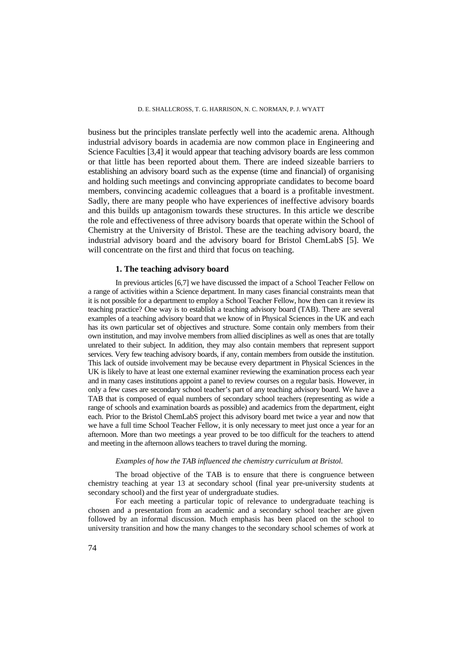business but the principles translate perfectly well into the academic arena. Although industrial advisory boards in academia are now common place in Engineering and Science Faculties [3,4] it would appear that teaching advisory boards are less common or that little has been reported about them. There are indeed sizeable barriers to establishing an advisory board such as the expense (time and financial) of organising and holding such meetings and convincing appropriate candidates to become board members, convincing academic colleagues that a board is a profitable investment. Sadly, there are many people who have experiences of ineffective advisory boards and this builds up antagonism towards these structures. In this article we describe the role and effectiveness of three advisory boards that operate within the School of Chemistry at the University of Bristol. These are the teaching advisory board, the industrial advisory board and the advisory board for Bristol ChemLabS [5]. We will concentrate on the first and third that focus on teaching.

# **1. The teaching advisory board**

In previous articles [6,7] we have discussed the impact of a School Teacher Fellow on a range of activities within a Science department. In many cases financial constraints mean that it is not possible for a department to employ a School Teacher Fellow, how then can it review its teaching practice? One way is to establish a teaching advisory board (TAB). There are several examples of a teaching advisory board that we know of in Physical Sciences in the UK and each has its own particular set of objectives and structure. Some contain only members from their own institution, and may involve members from allied disciplines as well as ones that are totally unrelated to their subject. In addition, they may also contain members that represent support services. Very few teaching advisory boards, if any, contain members from outside the institution. This lack of outside involvement may be because every department in Physical Sciences in the UK is likely to have at least one external examiner reviewing the examination process each year and in many cases institutions appoint a panel to review courses on a regular basis. However, in only a few cases are secondary school teacher's part of any teaching advisory board. We have a TAB that is composed of equal numbers of secondary school teachers (representing as wide a range of schools and examination boards as possible) and academics from the department, eight each. Prior to the Bristol ChemLabS project this advisory board met twice a year and now that we have a full time School Teacher Fellow, it is only necessary to meet just once a year for an afternoon. More than two meetings a year proved to be too difficult for the teachers to attend and meeting in the afternoon allows teachers to travel during the morning.

## *Examples of how the TAB influenced the chemistry curriculum at Bristol.*

The broad objective of the TAB is to ensure that there is congruence between chemistry teaching at year 13 at secondary school (final year pre-university students at secondary school) and the first year of undergraduate studies.

For each meeting a particular topic of relevance to undergraduate teaching is chosen and a presentation from an academic and a secondary school teacher are given followed by an informal discussion. Much emphasis has been placed on the school to university transition and how the many changes to the secondary school schemes of work at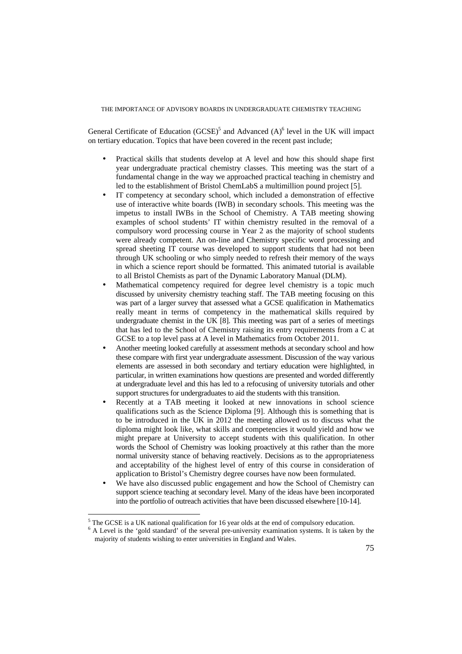General Certificate of Education (GCSE)<sup>5</sup> and Advanced  $(A)$ <sup>6</sup> level in the UK will impact on tertiary education. Topics that have been covered in the recent past include;

- Practical skills that students develop at A level and how this should shape first year undergraduate practical chemistry classes. This meeting was the start of a fundamental change in the way we approached practical teaching in chemistry and led to the establishment of Bristol ChemLabS a multimillion pound project [5].
- IT competency at secondary school, which included a demonstration of effective use of interactive white boards (IWB) in secondary schools. This meeting was the impetus to install IWBs in the School of Chemistry. A TAB meeting showing examples of school students' IT within chemistry resulted in the removal of a compulsory word processing course in Year 2 as the majority of school students were already competent. An on-line and Chemistry specific word processing and spread sheeting IT course was developed to support students that had not been through UK schooling or who simply needed to refresh their memory of the ways in which a science report should be formatted. This animated tutorial is available to all Bristol Chemists as part of the Dynamic Laboratory Manual (DLM).
- Mathematical competency required for degree level chemistry is a topic much discussed by university chemistry teaching staff. The TAB meeting focusing on this was part of a larger survey that assessed what a GCSE qualification in Mathematics really meant in terms of competency in the mathematical skills required by undergraduate chemist in the UK [8]. This meeting was part of a series of meetings that has led to the School of Chemistry raising its entry requirements from a C at GCSE to a top level pass at A level in Mathematics from October 2011.
- Another meeting looked carefully at assessment methods at secondary school and how these compare with first year undergraduate assessment. Discussion of the way various elements are assessed in both secondary and tertiary education were highlighted, in particular, in written examinations how questions are presented and worded differently at undergraduate level and this has led to a refocusing of university tutorials and other support structures for undergraduates to aid the students with this transition.
- Recently at a TAB meeting it looked at new innovations in school science qualifications such as the Science Diploma [9]. Although this is something that is to be introduced in the UK in 2012 the meeting allowed us to discuss what the diploma might look like, what skills and competencies it would yield and how we might prepare at University to accept students with this qualification. In other words the School of Chemistry was looking proactively at this rather than the more normal university stance of behaving reactively. Decisions as to the appropriateness and acceptability of the highest level of entry of this course in consideration of application to Bristol's Chemistry degree courses have now been formulated.
- We have also discussed public engagement and how the School of Chemistry can support science teaching at secondary level. Many of the ideas have been incorporated into the portfolio of outreach activities that have been discussed elsewhere [10-14].

 $\overline{a}$ 

 $<sup>5</sup>$  The GCSE is a UK national qualification for 16 year olds at the end of compulsory education.</sup>

<sup>&</sup>lt;sup>6</sup> A Level is the 'gold standard' of the several pre-university examination systems. It is taken by the majority of students wishing to enter universities in England and Wales.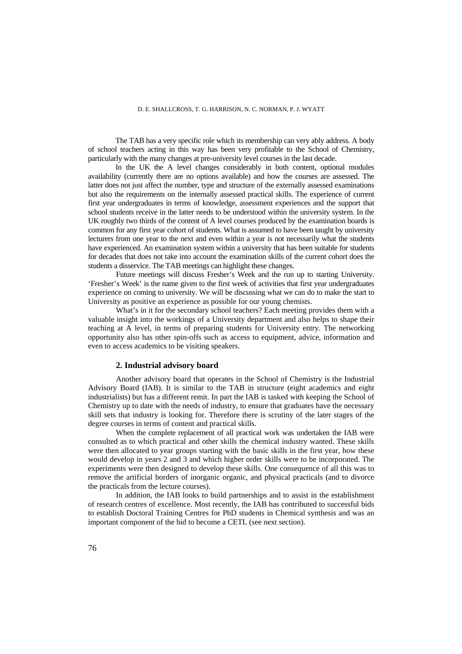#### D. E. SHALLCROSS, T. G. HARRISON, N. C. NORMAN, P. J. WYATT

The TAB has a very specific role which its membership can very ably address. A body of school teachers acting in this way has been very profitable to the School of Chemistry, particularly with the many changes at pre-university level courses in the last decade.

In the UK the A level changes considerably in both content, optional modules availability (currently there are no options available) and how the courses are assessed. The latter does not just affect the number, type and structure of the externally assessed examinations but also the requirements on the internally assessed practical skills. The experience of current first year undergraduates in terms of knowledge, assessment experiences and the support that school students receive in the latter needs to be understood within the university system. In the UK roughly two thirds of the content of A level courses produced by the examination boards is common for any first year cohort of students. What is assumed to have been taught by university lecturers from one year to the next and even within a year is not necessarily what the students have experienced. An examination system within a university that has been suitable for students for decades that does not take into account the examination skills of the current cohort does the students a disservice. The TAB meetings can highlight these changes.

 Future meetings will discuss Fresher's Week and the run up to starting University. 'Fresher's Week' is the name given to the first week of activities that first year undergraduates experience on coming to university. We will be discussing what we can do to make the start to University as positive an experience as possible for our young chemists.

What's in it for the secondary school teachers? Each meeting provides them with a valuable insight into the workings of a University department and also helps to shape their teaching at A level, in terms of preparing students for University entry. The networking opportunity also has other spin-offs such as access to equipment, advice, information and even to access academics to be visiting speakers.

#### **2. Industrial advisory board**

 Another advisory board that operates in the School of Chemistry is the Industrial Advisory Board (IAB). It is similar to the TAB in structure (eight academics and eight industrialists) but has a different remit. In part the IAB is tasked with keeping the School of Chemistry up to date with the needs of industry, to ensure that graduates have the necessary skill sets that industry is looking for. Therefore there is scrutiny of the later stages of the degree courses in terms of content and practical skills.

When the complete replacement of all practical work was undertaken the IAB were consulted as to which practical and other skills the chemical industry wanted. These skills were then allocated to year groups starting with the basic skills in the first year, how these would develop in years 2 and 3 and which higher order skills were to be incorporated. The experiments were then designed to develop these skills. One consequence of all this was to remove the artificial borders of inorganic organic, and physical practicals (and to divorce the practicals from the lecture courses).

 In addition, the IAB looks to build partnerships and to assist in the establishment of research centres of excellence. Most recently, the IAB has contributed to successful bids to establish Doctoral Training Centres for PhD students in Chemical synthesis and was an important component of the bid to become a CETL (see next section).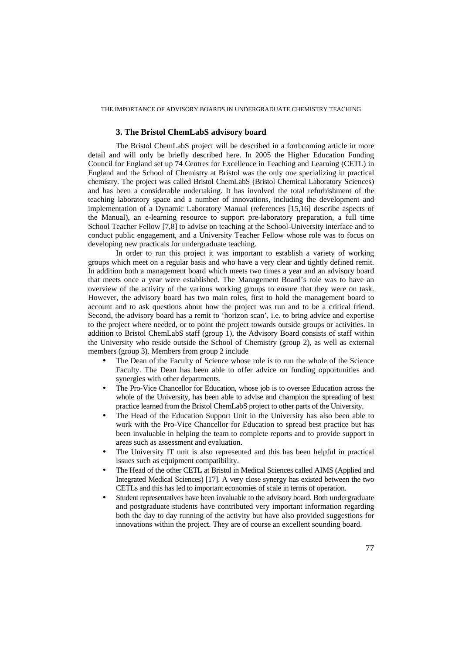THE IMPORTANCE OF ADVISORY BOARDS IN UNDERGRADUATE CHEMISTRY TEACHING

## **3. The Bristol ChemLabS advisory board**

 The Bristol ChemLabS project will be described in a forthcoming article in more detail and will only be briefly described here. In 2005 the Higher Education Funding Council for England set up 74 Centres for Excellence in Teaching and Learning (CETL) in England and the School of Chemistry at Bristol was the only one specializing in practical chemistry. The project was called Bristol ChemLabS (Bristol Chemical Laboratory Sciences) and has been a considerable undertaking. It has involved the total refurbishment of the teaching laboratory space and a number of innovations, including the development and implementation of a Dynamic Laboratory Manual (references [15,16] describe aspects of the Manual), an e-learning resource to support pre-laboratory preparation, a full time School Teacher Fellow [7,8] to advise on teaching at the School-University interface and to conduct public engagement, and a University Teacher Fellow whose role was to focus on developing new practicals for undergraduate teaching.

 In order to run this project it was important to establish a variety of working groups which meet on a regular basis and who have a very clear and tightly defined remit. In addition both a management board which meets two times a year and an advisory board that meets once a year were established. The Management Board's role was to have an overview of the activity of the various working groups to ensure that they were on task. However, the advisory board has two main roles, first to hold the management board to account and to ask questions about how the project was run and to be a critical friend. Second, the advisory board has a remit to 'horizon scan', i.e. to bring advice and expertise to the project where needed, or to point the project towards outside groups or activities. In addition to Bristol ChemLabS staff (group 1), the Advisory Board consists of staff within the University who reside outside the School of Chemistry (group 2), as well as external members (group 3). Members from group 2 include

- The Dean of the Faculty of Science whose role is to run the whole of the Science Faculty. The Dean has been able to offer advice on funding opportunities and synergies with other departments.
- The Pro-Vice Chancellor for Education, whose job is to oversee Education across the whole of the University, has been able to advise and champion the spreading of best practice learned from the Bristol ChemLabS project to other parts of the University.
- The Head of the Education Support Unit in the University has also been able to work with the Pro-Vice Chancellor for Education to spread best practice but has been invaluable in helping the team to complete reports and to provide support in areas such as assessment and evaluation.
- The University IT unit is also represented and this has been helpful in practical issues such as equipment compatibility.
- The Head of the other CETL at Bristol in Medical Sciences called AIMS (Applied and Integrated Medical Sciences) [17]. A very close synergy has existed between the two CETLs and this has led to important economies of scale in terms of operation.
- Student representatives have been invaluable to the advisory board. Both undergraduate and postgraduate students have contributed very important information regarding both the day to day running of the activity but have also provided suggestions for innovations within the project. They are of course an excellent sounding board.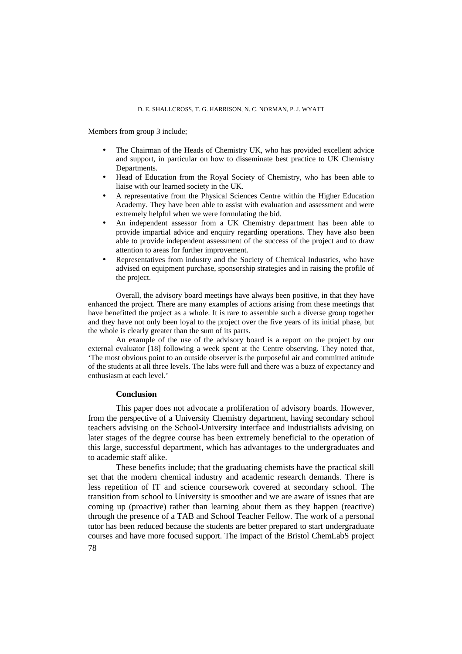# D. E. SHALLCROSS, T. G. HARRISON, N. C. NORMAN, P. J. WYATT

Members from group 3 include;

- The Chairman of the Heads of Chemistry UK, who has provided excellent advice and support, in particular on how to disseminate best practice to UK Chemistry Departments.
- Head of Education from the Royal Society of Chemistry, who has been able to liaise with our learned society in the UK.
- A representative from the Physical Sciences Centre within the Higher Education Academy. They have been able to assist with evaluation and assessment and were extremely helpful when we were formulating the bid.
- An independent assessor from a UK Chemistry department has been able to provide impartial advice and enquiry regarding operations. They have also been able to provide independent assessment of the success of the project and to draw attention to areas for further improvement.
- Representatives from industry and the Society of Chemical Industries, who have advised on equipment purchase, sponsorship strategies and in raising the profile of the project.

 Overall, the advisory board meetings have always been positive, in that they have enhanced the project. There are many examples of actions arising from these meetings that have benefitted the project as a whole. It is rare to assemble such a diverse group together and they have not only been loyal to the project over the five years of its initial phase, but the whole is clearly greater than the sum of its parts.

 An example of the use of the advisory board is a report on the project by our external evaluator [18] following a week spent at the Centre observing. They noted that, 'The most obvious point to an outside observer is the purposeful air and committed attitude of the students at all three levels. The labs were full and there was a buzz of expectancy and enthusiasm at each level.'

### **Conclusion**

 This paper does not advocate a proliferation of advisory boards. However, from the perspective of a University Chemistry department, having secondary school teachers advising on the School-University interface and industrialists advising on later stages of the degree course has been extremely beneficial to the operation of this large, successful department, which has advantages to the undergraduates and to academic staff alike.

 These benefits include; that the graduating chemists have the practical skill set that the modern chemical industry and academic research demands. There is less repetition of IT and science coursework covered at secondary school. The transition from school to University is smoother and we are aware of issues that are coming up (proactive) rather than learning about them as they happen (reactive) through the presence of a TAB and School Teacher Fellow. The work of a personal tutor has been reduced because the students are better prepared to start undergraduate courses and have more focused support. The impact of the Bristol ChemLabS project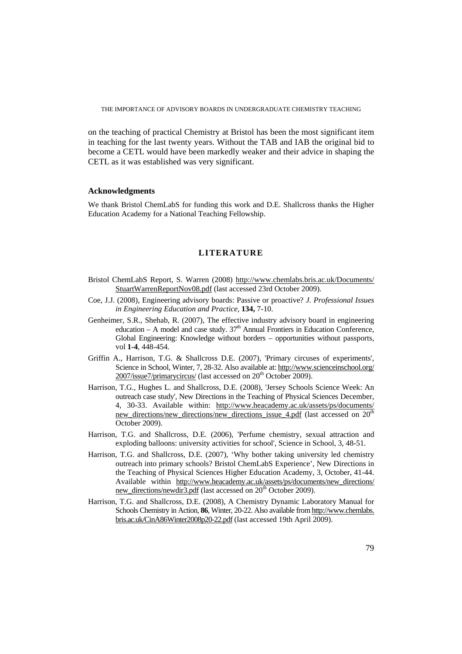THE IMPORTANCE OF ADVISORY BOARDS IN UNDERGRADUATE CHEMISTRY TEACHING

on the teaching of practical Chemistry at Bristol has been the most significant item in teaching for the last twenty years. Without the TAB and IAB the original bid to become a CETL would have been markedly weaker and their advice in shaping the CETL as it was established was very significant.

## **Acknowledgments**

We thank Bristol ChemLabS for funding this work and D.E. Shallcross thanks the Higher Education Academy for a National Teaching Fellowship.

## **LITERATURE**

- Bristol ChemLabS Report, S. Warren (2008) http://www.chemlabs.bris.ac.uk/Documents/ StuartWarrenReportNov08.pdf (last accessed 23rd October 2009).
- Coe, J.J. (2008), Engineering advisory boards: Passive or proactive? *J. Professional Issues in Engineering Education and Practice,* **134,** 7-10.
- Genheimer, S.R., Shehab, R. (2007), The effective industry advisory board in engineering education – A model and case study.  $37<sup>th</sup>$  Annual Frontiers in Education Conference, Global Engineering: Knowledge without borders – opportunities without passports, vol **1-4**, 448-454.
- Griffin A., Harrison, T.G. & Shallcross D.E. (2007), 'Primary circuses of experiments', Science in School, Winter, 7, 28-32. Also available at: http://www.scienceinschool.org/ 2007/issue7/primarycircus/ (last accessed on 20<sup>th</sup> October 2009).
- Harrison, T.G., Hughes L. and Shallcross, D.E. (2008), 'Jersey Schools Science Week: An outreach case study', New Directions in the Teaching of Physical Sciences December, 4, 30-33. Available within: http://www.heacademy.ac.uk/assets/ps/documents/ new directions/new directions/new directions issue 4.pdf (last accessed on 20<sup>th</sup>) October 2009).
- Harrison, T.G. and Shallcross, D.E. (2006), 'Perfume chemistry, sexual attraction and exploding balloons: university activities for school', Science in School, 3, 48-51.
- Harrison, T.G. and Shallcross, D.E. (2007), 'Why bother taking university led chemistry outreach into primary schools? Bristol ChemLabS Experience', New Directions in the Teaching of Physical Sciences Higher Education Academy, 3, October, 41-44. Available within http://www.heacademy.ac.uk/assets/ps/documents/new\_directions/ new directions/newdir3.pdf (last accessed on 20<sup>th</sup> October 2009).
- Harrison, T.G. and Shallcross, D.E. (2008), A Chemistry Dynamic Laboratory Manual for Schools Chemistry in Action, **86**, Winter, 20-22. Also available from http://www.chemlabs. bris.ac.uk/CinA86Winter2008p20-22.pdf (last accessed 19th April 2009).